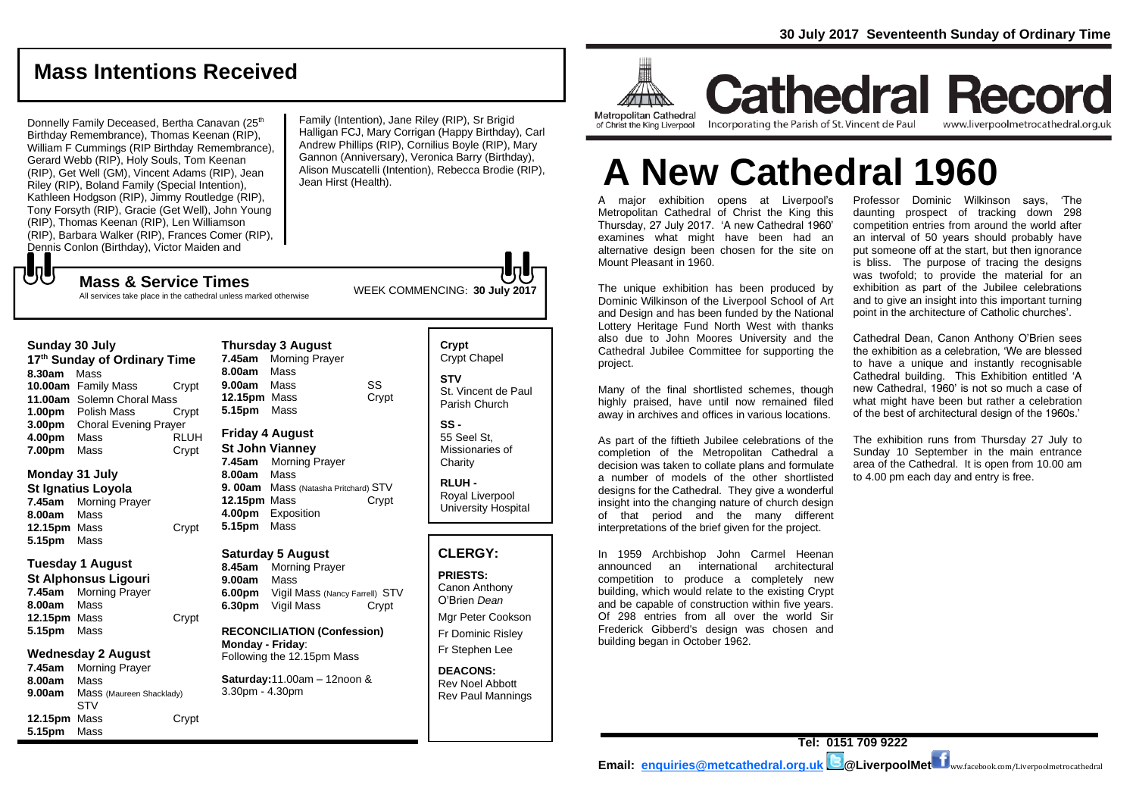# **Mass Intentions Received**

Donnelly Family Deceased, Bertha Canavan (25<sup>th</sup>) Birthday Remembrance), Thomas Keenan (RIP), William F Cummings (RIP Birthday Remembrance), Gerard Webb (RIP), Holy Souls, Tom Keenan (RIP), Get Well (GM), Vincent Adams (RIP), Jean Riley (RIP), Boland Family (Special Intention), Kathleen Hodgson (RIP), Jimmy Routledge (RIP), Tony Forsyth (RIP), Gracie (Get Well), John Young (RIP), Thomas Keenan (RIP), Len Williamson (RIP), Barbara Walker (RIP), Frances Comer (RIP), Dennis Conlon (Birthday), Victor Maiden and

Family (Intention), Jane Riley (RIP), Sr Brigid Halligan FCJ, Mary Corrigan (Happy Birthday), Carl Andrew Phillips (RIP), Cornilius Boyle (RIP), Mary Gannon (Anniversary), Veronica Barry (Birthday), Alison Muscatelli (Intention), Rebecca Brodie (RIP), Jean Hirst (Health).

WEEK COMMENCING: **30 July 2017 Mass & Service Times** All services take place in the cathedral unless marked otherwise

### **Sunday 30 July**

もし

**17th Sunday of Ordinary Time 8.30am** Mass **10.00am** Family Mass Crypt **11.00am** Solemn Choral Mass **1.00pm** Polish Mass Crypt **3.00pm** Choral Evening Prayer **4.00pm** Mass RLUH **7.00pm** Mass **Crypt** 

### **Monday 31 July**

**St Ignatius Loyola 7.45am** Morning Prayer **8.00am** Mass **12.15pm** Mass Crypt **5.15pm** Mass

### **Tuesday 1 August St Alphonsus Ligouri**

**7.45am** Morning Prayer **8.00am** Mass **12.15pm** Mass Crypt **5.15pm** Mass

### **Wednesday 2 August**

**7.45am** Morning Prayer **8.00am** Mass **9.00am** Mass (Maureen Shacklady) STV **12.15pm** Mass Crypt **5.15pm** Mass

**Thursday 3 August 7.45am** Morning Prayer **8.00am** Mass **9.00am** Mass SS **12.15pm** Mass Crypt **5.15pm** Mass **Friday 4 August St John Vianney**

**7.45am** Morning Prayer **8.00am** Mass **9. 00am** Mass (Natasha Pritchard) STV **12.15pm** Mass Crypt **4.00pm** Exposition **5.15pm** Mass

### **Saturday 5 August**

**8.45am** Morning Prayer **9.00am** Mass **6.00pm** Vigil Mass (Nancy Farrell) STV **6.30pm** Vigil Mass Crypt

**RECONCILIATION (Confession) Monday - Friday**: Following the 12.15pm Mass

**Saturday:**11.00am – 12noon & 3.30pm - 4.30pm

### **Crypt**  Crypt Chapel **STV** St. Vincent de Paul Parish Church

**SS -** 55 Seel St, Missionaries of **Charity** 

**RLUH -** Royal Liverpool University Hospital

### **CLERGY:**

**PRIESTS:** Canon Anthony O'Brien *Dean*

Mgr Peter Cookson Fr Dominic Risley Fr Stephen Lee

**DEACONS:** Rev Noel Abbott Rev Paul Mannings



**Cathedral Record** Incorporating the Parish of St. Vincent de Paul

www.liverpoolmetrocathedral.org.uk

# **A New Cathedral 1960**

A major exhibition opens at Liverpool's Metropolitan Cathedral of Christ the King this Thursday, 27 July 2017. 'A new Cathedral 1960' examines what might have been had an alternative design been chosen for the site on Mount Pleasant in 1960.

The unique exhibition has been produced by Dominic Wilkinson of the Liverpool School of Art and Design and has been funded by the National Lottery Heritage Fund North West with thanks also due to John Moores University and the Cathedral Jubilee Committee for supporting the project.

Many of the final shortlisted schemes, though highly praised, have until now remained filed away in archives and offices in various locations.

As part of the fiftieth Jubilee celebrations of the completion of the Metropolitan Cathedral a decision was taken to collate plans and formulate a number of models of the other shortlisted designs for the Cathedral. They give a wonderful insight into the changing nature of church design of that period and the many different interpretations of the brief given for the project.

In 1959 Archbishop John Carmel Heenan announced an international architectural competition to produce a completely new building, which would relate to the existing Crypt and be capable of construction within five years. Of 298 entries from all over the world Sir Frederick Gibberd's design was chosen and building began in October 1962.

Professor Dominic Wilkinson says, 'The daunting prospect of tracking down 298 competition entries from around the world after an interval of 50 years should probably have put someone off at the start, but then ignorance is bliss. The purpose of tracing the designs was twofold; to provide the material for an exhibition as part of the Jubilee celebrations and to give an insight into this important turning point in the architecture of Catholic churches'.

Cathedral Dean, Canon Anthony O'Brien sees the exhibition as a celebration, 'We are blessed to have a unique and instantly recognisable Cathedral building. This Exhibition entitled 'A new Cathedral, 1960' is not so much a case of what might have been but rather a celebration of the best of architectural design of the 1960s.'

The exhibition runs from Thursday 27 July to Sunday 10 September in the main entrance area of the Cathedral. It is open from 10.00 am to 4.00 pm each day and entry is free.